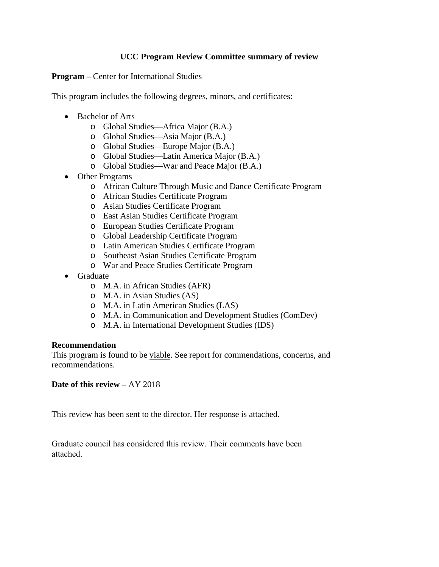## **UCC Program Review Committee summary of review**

**Program –** Center for International Studies

This program includes the following degrees, minors, and certificates:

- Bachelor of Arts
	- o Global Studies—Africa Major (B.A.)
	- o Global Studies—Asia Major (B.A.)
	- o Global Studies—Europe Major (B.A.)
	- o Global Studies—Latin America Major (B.A.)
	- o Global Studies—War and Peace Major (B.A.)
- Other Programs
	- o African Culture Through Music and Dance Certificate Program
	- o African Studies Certificate Program
	- o Asian Studies Certificate Program
	- o East Asian Studies Certificate Program
	- o European Studies Certificate Program
	- o Global Leadership Certificate Program
	- o Latin American Studies Certificate Program
	- o Southeast Asian Studies Certificate Program
	- o War and Peace Studies Certificate Program
- Graduate
	- o M.A. in African Studies (AFR)
	- o M.A. in Asian Studies (AS)
	- o M.A. in Latin American Studies (LAS)
	- o M.A. in Communication and Development Studies (ComDev)
	- o M.A. in International Development Studies (IDS)

#### **Recommendation**

This program is found to be viable. See report for commendations, concerns, and recommendations.

**Date of this review –** AY 2018

This review has been sent to the director. Her response is attached.

Graduate council has considered this review. Their comments have been attached.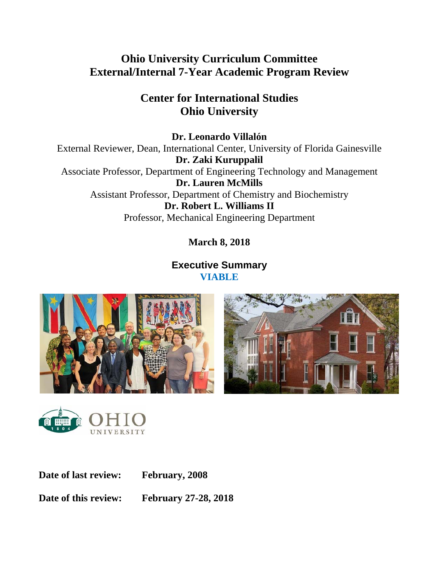# **Ohio University Curriculum Committee External/Internal 7-Year Academic Program Review**

# **Center for International Studies Ohio University**

**Dr. Leonardo Villalón**  External Reviewer, Dean, International Center, University of Florida Gainesville **Dr. Zaki Kuruppalil**  Associate Professor, Department of Engineering Technology and Management **Dr. Lauren McMills**  Assistant Professor, Department of Chemistry and Biochemistry **Dr. Robert L. Williams II**  Professor, Mechanical Engineering Department

**March 8, 2018** 

## **Executive Summary VIABLE**







**Date of last review: February, 2008** 

**Date of this review: February 27-28, 2018**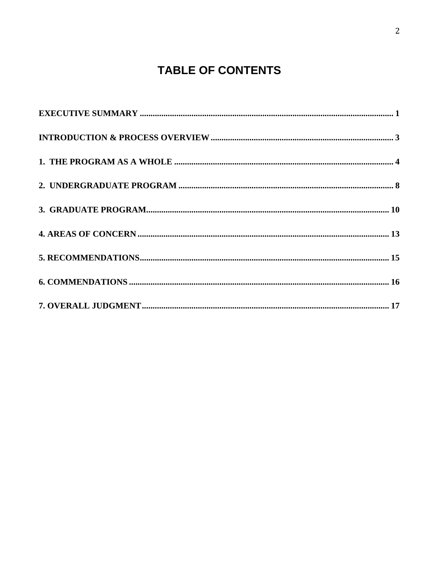# **TABLE OF CONTENTS**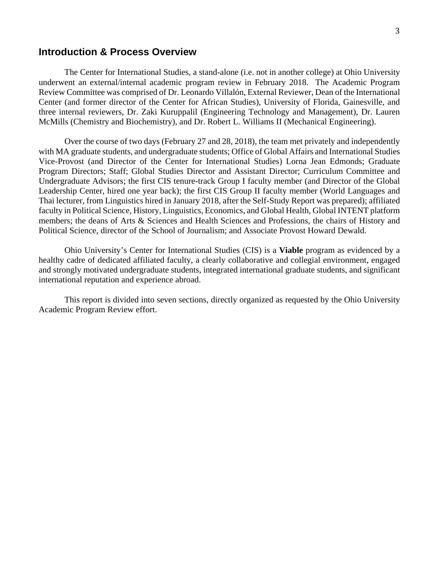#### 3

### **Introduction & Process Overview**

The Center for International Studies, a stand-alone (i.e. not in another college) at Ohio University underwent an external/internal academic program review in February 2018. The Academic Program Review Committee was comprised of Dr. Leonardo Villalón, External Reviewer, Dean of the International Center (and former director of the Center for African Studies), University of Florida, Gainesville, and three internal reviewers, Dr. Zaki Kuruppalil (Engineering Technology and Management), Dr. Lauren McMills (Chemistry and Biochemistry), and Dr. Robert L. Williams II (Mechanical Engineering).

Over the course of two days (February 27 and 28, 2018), the team met privately and independently with MA graduate students, and undergraduate students; Office of Global Affairs and International Studies Vice-Provost (and Director of the Center for International Studies) Lorna Jean Edmonds; Graduate Program Directors; Staff; Global Studies Director and Assistant Director; Curriculum Committee and Undergraduate Advisors; the first CIS tenure-track Group I faculty member (and Director of the Global Leadership Center, hired one year back); the first CIS Group II faculty member (World Languages and Thai lecturer, from Linguistics hired in January 2018, after the Self-Study Report was prepared); affiliated faculty in Political Science, History, Linguistics, Economics, and Global Health, Global INTENT platform members; the deans of Arts & Sciences and Health Sciences and Professions, the chairs of History and Political Science, director of the School of Journalism; and Associate Provost Howard Dewald.

Ohio University's Center for International Studies (CIS) is a **Viable** program as evidenced by a healthy cadre of dedicated affiliated faculty, a clearly collaborative and collegial environment, engaged and strongly motivated undergraduate students, integrated international graduate students, and significant international reputation and experience abroad.

This report is divided into seven sections, directly organized as requested by the Ohio University Academic Program Review effort.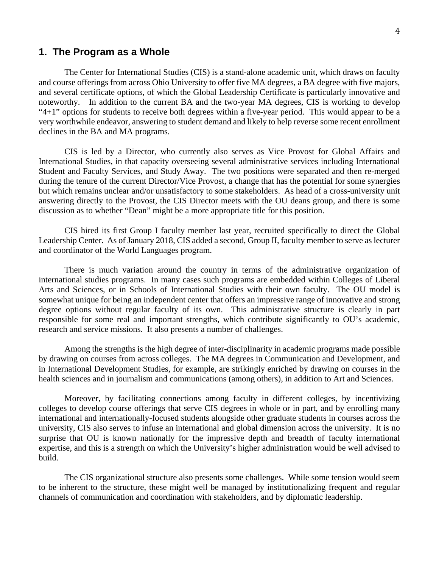## **1. The Program as a Whole**

The Center for International Studies (CIS) is a stand-alone academic unit, which draws on faculty and course offerings from across Ohio University to offer five MA degrees, a BA degree with five majors, and several certificate options, of which the Global Leadership Certificate is particularly innovative and noteworthy. In addition to the current BA and the two-year MA degrees, CIS is working to develop " $4+1$ " options for students to receive both degrees within a five-year period. This would appear to be a very worthwhile endeavor, answering to student demand and likely to help reverse some recent enrollment declines in the BA and MA programs.

CIS is led by a Director, who currently also serves as Vice Provost for Global Affairs and International Studies, in that capacity overseeing several administrative services including International Student and Faculty Services, and Study Away. The two positions were separated and then re-merged during the tenure of the current Director/Vice Provost, a change that has the potential for some synergies but which remains unclear and/or unsatisfactory to some stakeholders. As head of a cross-university unit answering directly to the Provost, the CIS Director meets with the OU deans group, and there is some discussion as to whether "Dean" might be a more appropriate title for this position.

CIS hired its first Group I faculty member last year, recruited specifically to direct the Global Leadership Center. As of January 2018, CIS added a second, Group II, faculty member to serve as lecturer and coordinator of the World Languages program.

There is much variation around the country in terms of the administrative organization of international studies programs. In many cases such programs are embedded within Colleges of Liberal Arts and Sciences, or in Schools of International Studies with their own faculty. The OU model is somewhat unique for being an independent center that offers an impressive range of innovative and strong degree options without regular faculty of its own. This administrative structure is clearly in part responsible for some real and important strengths, which contribute significantly to OU's academic, research and service missions. It also presents a number of challenges.

Among the strengths is the high degree of inter-disciplinarity in academic programs made possible by drawing on courses from across colleges. The MA degrees in Communication and Development, and in International Development Studies, for example, are strikingly enriched by drawing on courses in the health sciences and in journalism and communications (among others), in addition to Art and Sciences.

Moreover, by facilitating connections among faculty in different colleges, by incentivizing colleges to develop course offerings that serve CIS degrees in whole or in part, and by enrolling many international and internationally-focused students alongside other graduate students in courses across the university, CIS also serves to infuse an international and global dimension across the university. It is no surprise that OU is known nationally for the impressive depth and breadth of faculty international expertise, and this is a strength on which the University's higher administration would be well advised to build.

The CIS organizational structure also presents some challenges. While some tension would seem to be inherent to the structure, these might well be managed by institutionalizing frequent and regular channels of communication and coordination with stakeholders, and by diplomatic leadership.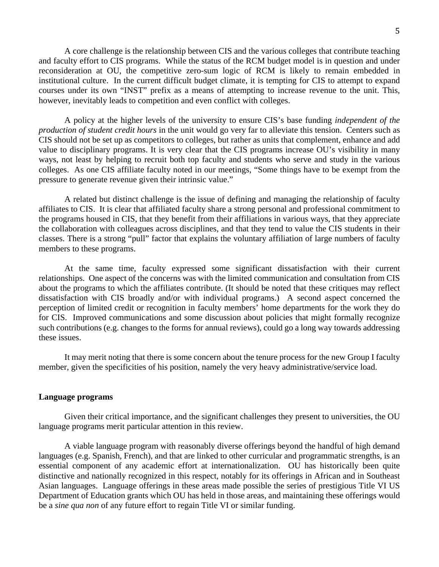A core challenge is the relationship between CIS and the various colleges that contribute teaching and faculty effort to CIS programs. While the status of the RCM budget model is in question and under reconsideration at OU, the competitive zero-sum logic of RCM is likely to remain embedded in institutional culture. In the current difficult budget climate, it is tempting for CIS to attempt to expand courses under its own "INST" prefix as a means of attempting to increase revenue to the unit. This, however, inevitably leads to competition and even conflict with colleges.

A policy at the higher levels of the university to ensure CIS's base funding *independent of the production of student credit hours* in the unit would go very far to alleviate this tension. Centers such as CIS should not be set up as competitors to colleges, but rather as units that complement, enhance and add value to disciplinary programs. It is very clear that the CIS programs increase OU's visibility in many ways, not least by helping to recruit both top faculty and students who serve and study in the various colleges. As one CIS affiliate faculty noted in our meetings, "Some things have to be exempt from the pressure to generate revenue given their intrinsic value."

A related but distinct challenge is the issue of defining and managing the relationship of faculty affiliates to CIS. It is clear that affiliated faculty share a strong personal and professional commitment to the programs housed in CIS, that they benefit from their affiliations in various ways, that they appreciate the collaboration with colleagues across disciplines, and that they tend to value the CIS students in their classes. There is a strong "pull" factor that explains the voluntary affiliation of large numbers of faculty members to these programs.

At the same time, faculty expressed some significant dissatisfaction with their current relationships. One aspect of the concerns was with the limited communication and consultation from CIS about the programs to which the affiliates contribute. (It should be noted that these critiques may reflect dissatisfaction with CIS broadly and/or with individual programs.) A second aspect concerned the perception of limited credit or recognition in faculty members' home departments for the work they do for CIS. Improved communications and some discussion about policies that might formally recognize such contributions (e.g. changes to the forms for annual reviews), could go a long way towards addressing these issues.

It may merit noting that there is some concern about the tenure process for the new Group I faculty member, given the specificities of his position, namely the very heavy administrative/service load.

#### **Language programs**

Given their critical importance, and the significant challenges they present to universities, the OU language programs merit particular attention in this review.

A viable language program with reasonably diverse offerings beyond the handful of high demand languages (e.g. Spanish, French), and that are linked to other curricular and programmatic strengths, is an essential component of any academic effort at internationalization. OU has historically been quite distinctive and nationally recognized in this respect, notably for its offerings in African and in Southeast Asian languages. Language offerings in these areas made possible the series of prestigious Title VI US Department of Education grants which OU has held in those areas, and maintaining these offerings would be a *sine qua non* of any future effort to regain Title VI or similar funding.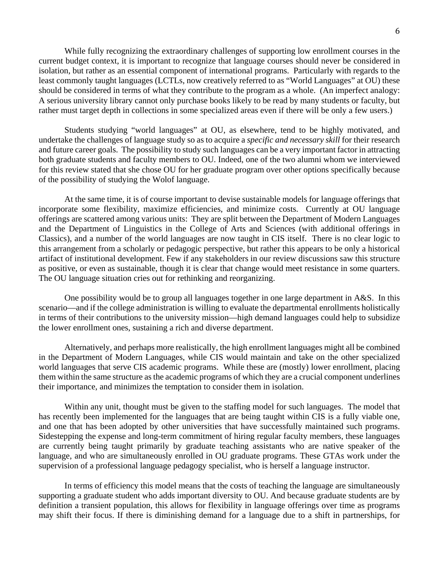While fully recognizing the extraordinary challenges of supporting low enrollment courses in the current budget context, it is important to recognize that language courses should never be considered in isolation, but rather as an essential component of international programs. Particularly with regards to the least commonly taught languages (LCTLs, now creatively referred to as "World Languages" at OU) these should be considered in terms of what they contribute to the program as a whole. (An imperfect analogy: A serious university library cannot only purchase books likely to be read by many students or faculty, but rather must target depth in collections in some specialized areas even if there will be only a few users.)

Students studying "world languages" at OU, as elsewhere, tend to be highly motivated, and undertake the challenges of language study so as to acquire a *specific and necessary skill* for their research and future career goals. The possibility to study such languages can be a very important factor in attracting both graduate students and faculty members to OU. Indeed, one of the two alumni whom we interviewed for this review stated that she chose OU for her graduate program over other options specifically because of the possibility of studying the Wolof language.

At the same time, it is of course important to devise sustainable models for language offerings that incorporate some flexibility, maximize efficiencies, and minimize costs. Currently at OU language offerings are scattered among various units: They are split between the Department of Modern Languages and the Department of Linguistics in the College of Arts and Sciences (with additional offerings in Classics), and a number of the world languages are now taught in CIS itself. There is no clear logic to this arrangement from a scholarly or pedagogic perspective, but rather this appears to be only a historical artifact of institutional development. Few if any stakeholders in our review discussions saw this structure as positive, or even as sustainable, though it is clear that change would meet resistance in some quarters. The OU language situation cries out for rethinking and reorganizing.

One possibility would be to group all languages together in one large department in A&S. In this scenario—and if the college administration is willing to evaluate the departmental enrollments holistically in terms of their contributions to the university mission—high demand languages could help to subsidize the lower enrollment ones, sustaining a rich and diverse department.

Alternatively, and perhaps more realistically, the high enrollment languages might all be combined in the Department of Modern Languages, while CIS would maintain and take on the other specialized world languages that serve CIS academic programs. While these are (mostly) lower enrollment, placing them within the same structure as the academic programs of which they are a crucial component underlines their importance, and minimizes the temptation to consider them in isolation.

Within any unit, thought must be given to the staffing model for such languages. The model that has recently been implemented for the languages that are being taught within CIS is a fully viable one, and one that has been adopted by other universities that have successfully maintained such programs. Sidestepping the expense and long-term commitment of hiring regular faculty members, these languages are currently being taught primarily by graduate teaching assistants who are native speaker of the language, and who are simultaneously enrolled in OU graduate programs. These GTAs work under the supervision of a professional language pedagogy specialist, who is herself a language instructor.

In terms of efficiency this model means that the costs of teaching the language are simultaneously supporting a graduate student who adds important diversity to OU. And because graduate students are by definition a transient population, this allows for flexibility in language offerings over time as programs may shift their focus. If there is diminishing demand for a language due to a shift in partnerships, for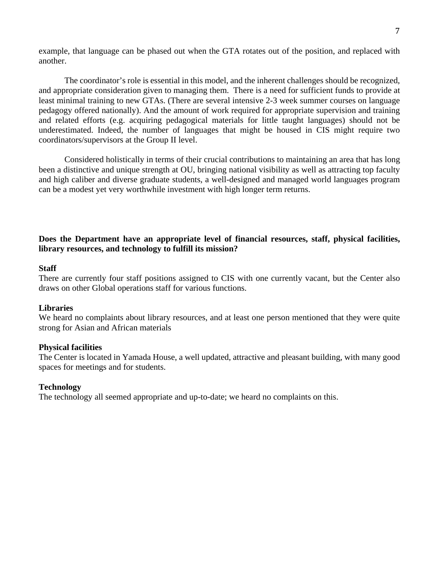example, that language can be phased out when the GTA rotates out of the position, and replaced with another.

The coordinator's role is essential in this model, and the inherent challenges should be recognized, and appropriate consideration given to managing them. There is a need for sufficient funds to provide at least minimal training to new GTAs. (There are several intensive 2-3 week summer courses on language pedagogy offered nationally). And the amount of work required for appropriate supervision and training and related efforts (e.g. acquiring pedagogical materials for little taught languages) should not be underestimated. Indeed, the number of languages that might be housed in CIS might require two coordinators/supervisors at the Group II level.

Considered holistically in terms of their crucial contributions to maintaining an area that has long been a distinctive and unique strength at OU, bringing national visibility as well as attracting top faculty and high caliber and diverse graduate students, a well-designed and managed world languages program can be a modest yet very worthwhile investment with high longer term returns.

### **Does the Department have an appropriate level of financial resources, staff, physical facilities, library resources, and technology to fulfill its mission?**

#### **Staff**

There are currently four staff positions assigned to CIS with one currently vacant, but the Center also draws on other Global operations staff for various functions.

#### **Libraries**

We heard no complaints about library resources, and at least one person mentioned that they were quite strong for Asian and African materials

#### **Physical facilities**

The Center is located in Yamada House, a well updated, attractive and pleasant building, with many good spaces for meetings and for students.

#### **Technology**

The technology all seemed appropriate and up-to-date; we heard no complaints on this.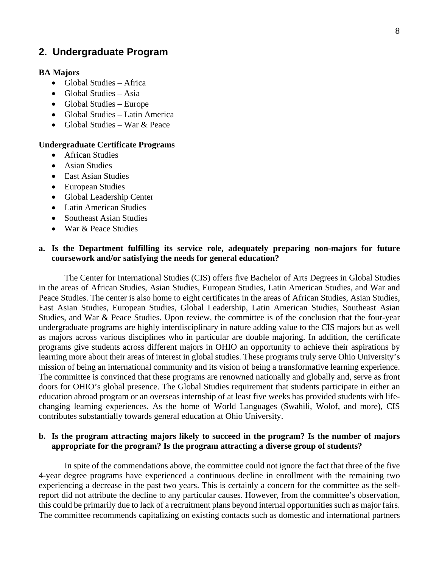## **2. Undergraduate Program**

#### **BA Majors**

- Global Studies Africa
- $\bullet$  Global Studies Asia
- Global Studies Europe
- Global Studies Latin America
- Global Studies War  $&$  Peace

#### **Undergraduate Certificate Programs**

- African Studies
- Asian Studies
- East Asian Studies
- European Studies
- Global Leadership Center
- Latin American Studies
- Southeast Asian Studies
- War & Peace Studies

### **a. Is the Department fulfilling its service role, adequately preparing non-majors for future coursework and/or satisfying the needs for general education?**

The Center for International Studies (CIS) offers five Bachelor of Arts Degrees in Global Studies in the areas of African Studies, Asian Studies, European Studies, Latin American Studies, and War and Peace Studies. The center is also home to eight certificates in the areas of African Studies, Asian Studies, East Asian Studies, European Studies, Global Leadership, Latin American Studies, Southeast Asian Studies, and War & Peace Studies. Upon review, the committee is of the conclusion that the four-year undergraduate programs are highly interdisciplinary in nature adding value to the CIS majors but as well as majors across various disciplines who in particular are double majoring. In addition, the certificate programs give students across different majors in OHIO an opportunity to achieve their aspirations by learning more about their areas of interest in global studies. These programs truly serve Ohio University's mission of being an international community and its vision of being a transformative learning experience. The committee is convinced that these programs are renowned nationally and globally and, serve as front doors for OHIO's global presence. The Global Studies requirement that students participate in either an education abroad program or an overseas internship of at least five weeks has provided students with lifechanging learning experiences. As the home of World Languages (Swahili, Wolof, and more), CIS contributes substantially towards general education at Ohio University.

#### **b. Is the program attracting majors likely to succeed in the program? Is the number of majors appropriate for the program? Is the program attracting a diverse group of students?**

In spite of the commendations above, the committee could not ignore the fact that three of the five 4-year degree programs have experienced a continuous decline in enrollment with the remaining two experiencing a decrease in the past two years. This is certainly a concern for the committee as the selfreport did not attribute the decline to any particular causes. However, from the committee's observation, this could be primarily due to lack of a recruitment plans beyond internal opportunities such as major fairs. The committee recommends capitalizing on existing contacts such as domestic and international partners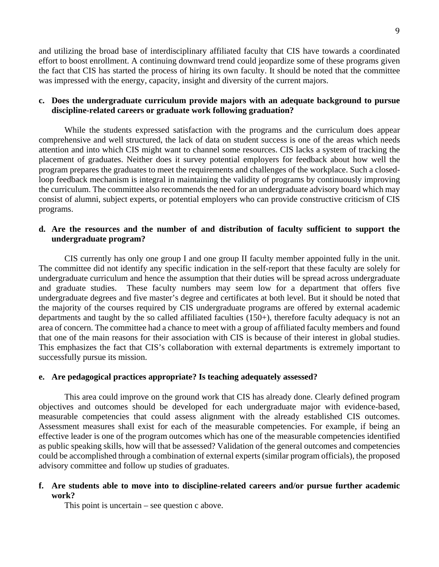and utilizing the broad base of interdisciplinary affiliated faculty that CIS have towards a coordinated effort to boost enrollment. A continuing downward trend could jeopardize some of these programs given the fact that CIS has started the process of hiring its own faculty. It should be noted that the committee was impressed with the energy, capacity, insight and diversity of the current majors.

### **c. Does the undergraduate curriculum provide majors with an adequate background to pursue discipline-related careers or graduate work following graduation?**

While the students expressed satisfaction with the programs and the curriculum does appear comprehensive and well structured, the lack of data on student success is one of the areas which needs attention and into which CIS might want to channel some resources. CIS lacks a system of tracking the placement of graduates. Neither does it survey potential employers for feedback about how well the program prepares the graduates to meet the requirements and challenges of the workplace. Such a closedloop feedback mechanism is integral in maintaining the validity of programs by continuously improving the curriculum. The committee also recommends the need for an undergraduate advisory board which may consist of alumni, subject experts, or potential employers who can provide constructive criticism of CIS programs.

### **d. Are the resources and the number of and distribution of faculty sufficient to support the undergraduate program?**

CIS currently has only one group I and one group II faculty member appointed fully in the unit. The committee did not identify any specific indication in the self-report that these faculty are solely for undergraduate curriculum and hence the assumption that their duties will be spread across undergraduate and graduate studies. These faculty numbers may seem low for a department that offers five undergraduate degrees and five master's degree and certificates at both level. But it should be noted that the majority of the courses required by CIS undergraduate programs are offered by external academic departments and taught by the so called affiliated faculties (150+), therefore faculty adequacy is not an area of concern. The committee had a chance to meet with a group of affiliated faculty members and found that one of the main reasons for their association with CIS is because of their interest in global studies. This emphasizes the fact that CIS's collaboration with external departments is extremely important to successfully pursue its mission.

### **e. Are pedagogical practices appropriate? Is teaching adequately assessed?**

This area could improve on the ground work that CIS has already done. Clearly defined program objectives and outcomes should be developed for each undergraduate major with evidence-based, measurable competencies that could assess alignment with the already established CIS outcomes. Assessment measures shall exist for each of the measurable competencies. For example, if being an effective leader is one of the program outcomes which has one of the measurable competencies identified as public speaking skills, how will that be assessed? Validation of the general outcomes and competencies could be accomplished through a combination of external experts (similar program officials), the proposed advisory committee and follow up studies of graduates.

### **f. Are students able to move into to discipline-related careers and/or pursue further academic work?**

This point is uncertain – see question c above.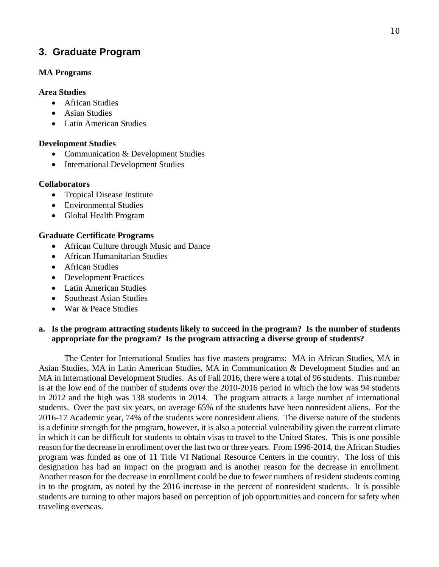## **3. Graduate Program**

### **MA Programs**

### **Area Studies**

- African Studies
- Asian Studies
- Latin American Studies

## **Development Studies**

- Communication & Development Studies
- International Development Studies

## **Collaborators**

- Tropical Disease Institute
- Environmental Studies
- Global Health Program

## **Graduate Certificate Programs**

- African Culture through Music and Dance
- African Humanitarian Studies
- African Studies
- Development Practices
- Latin American Studies
- Southeast Asian Studies
- War & Peace Studies

## **a. Is the program attracting students likely to succeed in the program? Is the number of students appropriate for the program? Is the program attracting a diverse group of students?**

The Center for International Studies has five masters programs: MA in African Studies, MA in Asian Studies, MA in Latin American Studies, MA in Communication & Development Studies and an MA in International Development Studies. As of Fall 2016, there were a total of 96 students. This number is at the low end of the number of students over the 2010-2016 period in which the low was 94 students in 2012 and the high was 138 students in 2014. The program attracts a large number of international students. Over the past six years, on average 65% of the students have been nonresident aliens. For the 2016-17 Academic year, 74% of the students were nonresident aliens. The diverse nature of the students is a definite strength for the program, however, it is also a potential vulnerability given the current climate in which it can be difficult for students to obtain visas to travel to the United States. This is one possible reason for the decrease in enrollment over the last two or three years. From 1996-2014, the African Studies program was funded as one of 11 Title VI National Resource Centers in the country. The loss of this designation has had an impact on the program and is another reason for the decrease in enrollment. Another reason for the decrease in enrollment could be due to fewer numbers of resident students coming in to the program, as noted by the 2016 increase in the percent of nonresident students. It is possible students are turning to other majors based on perception of job opportunities and concern for safety when traveling overseas.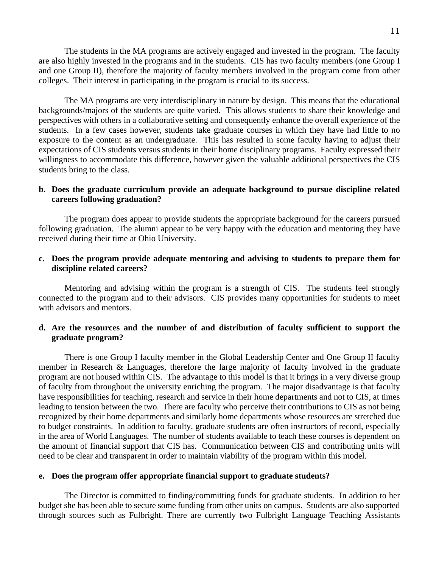The students in the MA programs are actively engaged and invested in the program. The faculty are also highly invested in the programs and in the students. CIS has two faculty members (one Group I and one Group II), therefore the majority of faculty members involved in the program come from other colleges. Their interest in participating in the program is crucial to its success.

The MA programs are very interdisciplinary in nature by design. This means that the educational backgrounds/majors of the students are quite varied. This allows students to share their knowledge and perspectives with others in a collaborative setting and consequently enhance the overall experience of the students. In a few cases however, students take graduate courses in which they have had little to no exposure to the content as an undergraduate. This has resulted in some faculty having to adjust their expectations of CIS students versus students in their home disciplinary programs. Faculty expressed their willingness to accommodate this difference, however given the valuable additional perspectives the CIS students bring to the class.

#### **b. Does the graduate curriculum provide an adequate background to pursue discipline related careers following graduation?**

The program does appear to provide students the appropriate background for the careers pursued following graduation. The alumni appear to be very happy with the education and mentoring they have received during their time at Ohio University.

### **c. Does the program provide adequate mentoring and advising to students to prepare them for discipline related careers?**

Mentoring and advising within the program is a strength of CIS. The students feel strongly connected to the program and to their advisors. CIS provides many opportunities for students to meet with advisors and mentors.

#### **d. Are the resources and the number of and distribution of faculty sufficient to support the graduate program?**

There is one Group I faculty member in the Global Leadership Center and One Group II faculty member in Research & Languages, therefore the large majority of faculty involved in the graduate program are not housed within CIS. The advantage to this model is that it brings in a very diverse group of faculty from throughout the university enriching the program. The major disadvantage is that faculty have responsibilities for teaching, research and service in their home departments and not to CIS, at times leading to tension between the two. There are faculty who perceive their contributions to CIS as not being recognized by their home departments and similarly home departments whose resources are stretched due to budget constraints. In addition to faculty, graduate students are often instructors of record, especially in the area of World Languages. The number of students available to teach these courses is dependent on the amount of financial support that CIS has. Communication between CIS and contributing units will need to be clear and transparent in order to maintain viability of the program within this model.

#### **e. Does the program offer appropriate financial support to graduate students?**

The Director is committed to finding/committing funds for graduate students. In addition to her budget she has been able to secure some funding from other units on campus. Students are also supported through sources such as Fulbright. There are currently two Fulbright Language Teaching Assistants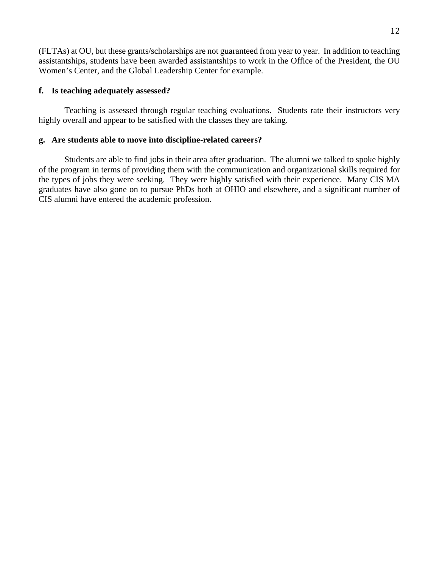(FLTAs) at OU, but these grants/scholarships are not guaranteed from year to year. In addition to teaching assistantships, students have been awarded assistantships to work in the Office of the President, the OU Women's Center, and the Global Leadership Center for example.

### **f. Is teaching adequately assessed?**

Teaching is assessed through regular teaching evaluations. Students rate their instructors very highly overall and appear to be satisfied with the classes they are taking.

#### **g. Are students able to move into discipline-related careers?**

Students are able to find jobs in their area after graduation. The alumni we talked to spoke highly of the program in terms of providing them with the communication and organizational skills required for the types of jobs they were seeking. They were highly satisfied with their experience. Many CIS MA graduates have also gone on to pursue PhDs both at OHIO and elsewhere, and a significant number of CIS alumni have entered the academic profession.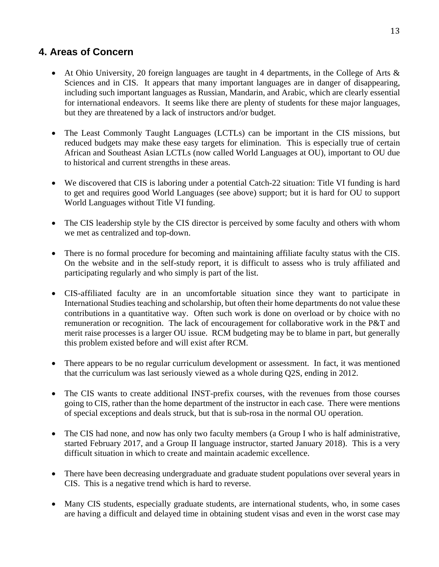## **4. Areas of Concern**

- At Ohio University, 20 foreign languages are taught in 4 departments, in the College of Arts  $\&$ Sciences and in CIS. It appears that many important languages are in danger of disappearing, including such important languages as Russian, Mandarin, and Arabic, which are clearly essential for international endeavors. It seems like there are plenty of students for these major languages, but they are threatened by a lack of instructors and/or budget.
- The Least Commonly Taught Languages (LCTLs) can be important in the CIS missions, but reduced budgets may make these easy targets for elimination. This is especially true of certain African and Southeast Asian LCTLs (now called World Languages at OU), important to OU due to historical and current strengths in these areas.
- We discovered that CIS is laboring under a potential Catch-22 situation: Title VI funding is hard to get and requires good World Languages (see above) support; but it is hard for OU to support World Languages without Title VI funding.
- The CIS leadership style by the CIS director is perceived by some faculty and others with whom we met as centralized and top-down.
- There is no formal procedure for becoming and maintaining affiliate faculty status with the CIS. On the website and in the self-study report, it is difficult to assess who is truly affiliated and participating regularly and who simply is part of the list.
- CIS-affiliated faculty are in an uncomfortable situation since they want to participate in International Studies teaching and scholarship, but often their home departments do not value these contributions in a quantitative way. Often such work is done on overload or by choice with no remuneration or recognition. The lack of encouragement for collaborative work in the P&T and merit raise processes is a larger OU issue. RCM budgeting may be to blame in part, but generally this problem existed before and will exist after RCM.
- There appears to be no regular curriculum development or assessment. In fact, it was mentioned that the curriculum was last seriously viewed as a whole during Q2S, ending in 2012.
- The CIS wants to create additional INST-prefix courses, with the revenues from those courses going to CIS, rather than the home department of the instructor in each case. There were mentions of special exceptions and deals struck, but that is sub-rosa in the normal OU operation.
- The CIS had none, and now has only two faculty members (a Group I who is half administrative, started February 2017, and a Group II language instructor, started January 2018). This is a very difficult situation in which to create and maintain academic excellence.
- There have been decreasing undergraduate and graduate student populations over several years in CIS. This is a negative trend which is hard to reverse.
- Many CIS students, especially graduate students, are international students, who, in some cases are having a difficult and delayed time in obtaining student visas and even in the worst case may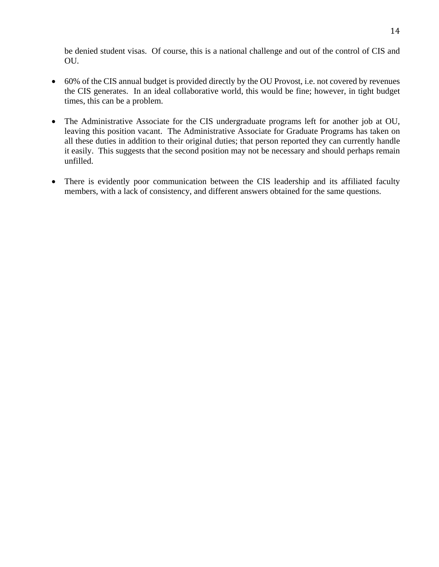be denied student visas. Of course, this is a national challenge and out of the control of CIS and OU.

- 60% of the CIS annual budget is provided directly by the OU Provost, i.e. not covered by revenues the CIS generates. In an ideal collaborative world, this would be fine; however, in tight budget times, this can be a problem.
- The Administrative Associate for the CIS undergraduate programs left for another job at OU, leaving this position vacant. The Administrative Associate for Graduate Programs has taken on all these duties in addition to their original duties; that person reported they can currently handle it easily. This suggests that the second position may not be necessary and should perhaps remain unfilled.
- There is evidently poor communication between the CIS leadership and its affiliated faculty members, with a lack of consistency, and different answers obtained for the same questions.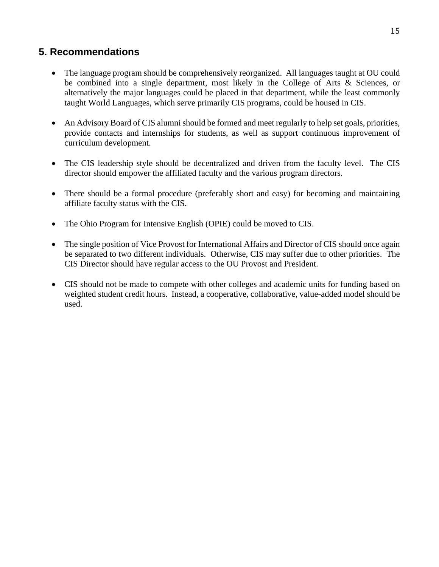## **5. Recommendations**

- The language program should be comprehensively reorganized. All languages taught at OU could be combined into a single department, most likely in the College of Arts & Sciences, or alternatively the major languages could be placed in that department, while the least commonly taught World Languages, which serve primarily CIS programs, could be housed in CIS.
- An Advisory Board of CIS alumni should be formed and meet regularly to help set goals, priorities, provide contacts and internships for students, as well as support continuous improvement of curriculum development.
- The CIS leadership style should be decentralized and driven from the faculty level. The CIS director should empower the affiliated faculty and the various program directors.
- There should be a formal procedure (preferably short and easy) for becoming and maintaining affiliate faculty status with the CIS.
- The Ohio Program for Intensive English (OPIE) could be moved to CIS.
- The single position of Vice Provost for International Affairs and Director of CIS should once again be separated to two different individuals. Otherwise, CIS may suffer due to other priorities. The CIS Director should have regular access to the OU Provost and President.
- CIS should not be made to compete with other colleges and academic units for funding based on weighted student credit hours. Instead, a cooperative, collaborative, value-added model should be used.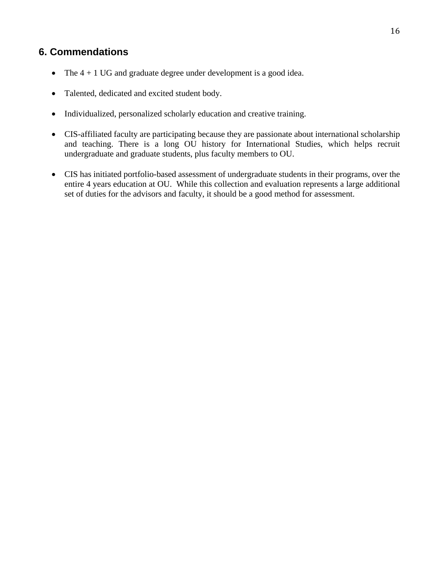## **6. Commendations**

- The  $4 + 1$  UG and graduate degree under development is a good idea.
- Talented, dedicated and excited student body.
- Individualized, personalized scholarly education and creative training.
- CIS-affiliated faculty are participating because they are passionate about international scholarship and teaching. There is a long OU history for International Studies, which helps recruit undergraduate and graduate students, plus faculty members to OU.
- CIS has initiated portfolio-based assessment of undergraduate students in their programs, over the entire 4 years education at OU. While this collection and evaluation represents a large additional set of duties for the advisors and faculty, it should be a good method for assessment.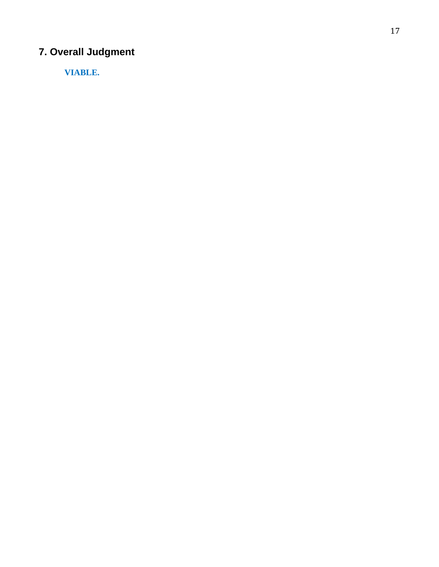# **7. Overall Judgment**

**VIABLE.**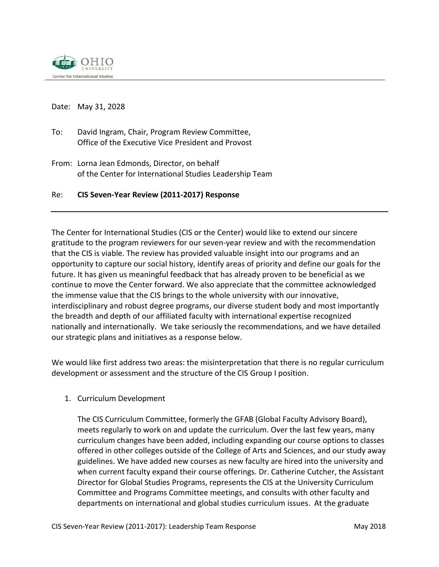

Date: May 31, 2028

- To: David Ingram, Chair, Program Review Committee, Office of the Executive Vice President and Provost
- From: Lorna Jean Edmonds, Director, on behalf of the Center for International Studies Leadership Team

### Re: **CIS Seven-Year Review (2011-2017) Response**

The Center for International Studies (CIS or the Center) would like to extend our sincere gratitude to the program reviewers for our seven-year review and with the recommendation that the CIS is viable. The review has provided valuable insight into our programs and an opportunity to capture our social history, identify areas of priority and define our goals for the future. It has given us meaningful feedback that has already proven to be beneficial as we continue to move the Center forward. We also appreciate that the committee acknowledged the immense value that the CIS brings to the whole university with our innovative, interdisciplinary and robust degree programs, our diverse student body and most importantly the breadth and depth of our affiliated faculty with international expertise recognized nationally and internationally. We take seriously the recommendations, and we have detailed our strategic plans and initiatives as a response below.

We would like first address two areas: the misinterpretation that there is no regular curriculum development or assessment and the structure of the CIS Group I position.

1. Curriculum Development

The CIS Curriculum Committee, formerly the GFAB (Global Faculty Advisory Board), meets regularly to work on and update the curriculum. Over the last few years, many curriculum changes have been added, including expanding our course options to classes offered in other colleges outside of the College of Arts and Sciences, and our study away guidelines. We have added new courses as new faculty are hired into the university and when current faculty expand their course offerings. Dr. Catherine Cutcher, the Assistant Director for Global Studies Programs, represents the CIS at the University Curriculum Committee and Programs Committee meetings, and consults with other faculty and departments on international and global studies curriculum issues. At the graduate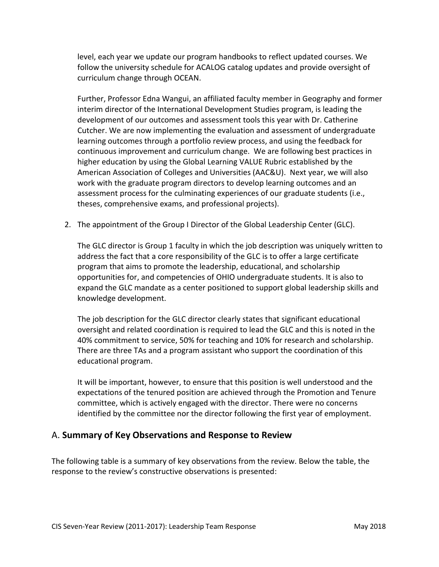level, each year we update our program handbooks to reflect updated courses. We follow the university schedule for ACALOG catalog updates and provide oversight of curriculum change through OCEAN.

Further, Professor Edna Wangui, an affiliated faculty member in Geography and former interim director of the International Development Studies program, is leading the development of our outcomes and assessment tools this year with Dr. Catherine Cutcher. We are now implementing the evaluation and assessment of undergraduate learning outcomes through a portfolio review process, and using the feedback for continuous improvement and curriculum change. We are following best practices in higher education by using the Global Learning VALUE Rubric established by the American Association of Colleges and Universities (AAC&U). Next year, we will also work with the graduate program directors to develop learning outcomes and an assessment process for the culminating experiences of our graduate students (i.e., theses, comprehensive exams, and professional projects).

2. The appointment of the Group I Director of the Global Leadership Center (GLC).

The GLC director is Group 1 faculty in which the job description was uniquely written to address the fact that a core responsibility of the GLC is to offer a large certificate program that aims to promote the leadership, educational, and scholarship opportunities for, and competencies of OHIO undergraduate students. It is also to expand the GLC mandate as a center positioned to support global leadership skills and knowledge development.

The job description for the GLC director clearly states that significant educational oversight and related coordination is required to lead the GLC and this is noted in the 40% commitment to service, 50% for teaching and 10% for research and scholarship. There are three TAs and a program assistant who support the coordination of this educational program.

It will be important, however, to ensure that this position is well understood and the expectations of the tenured position are achieved through the Promotion and Tenure committee, which is actively engaged with the director. There were no concerns identified by the committee nor the director following the first year of employment.

## A. **Summary of Key Observations and Response to Review**

The following table is a summary of key observations from the review. Below the table, the response to the review's constructive observations is presented: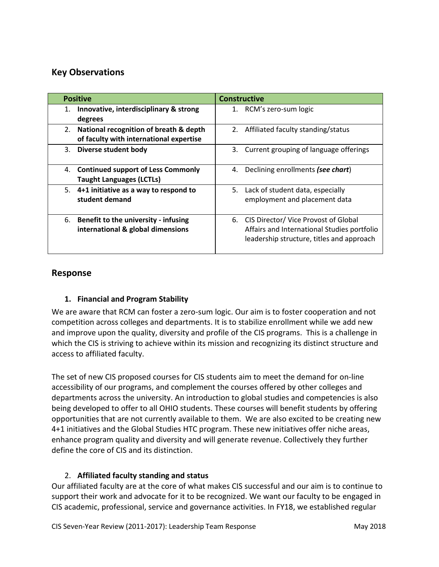## **Key Observations**

| <b>Positive</b>                                                                         | <b>Constructive</b>                                                                                                                 |
|-----------------------------------------------------------------------------------------|-------------------------------------------------------------------------------------------------------------------------------------|
| Innovative, interdisciplinary & strong<br>1.<br>degrees                                 | 1. RCM's zero-sum logic                                                                                                             |
| National recognition of breath & depth<br>2.<br>of faculty with international expertise | 2. Affiliated faculty standing/status                                                                                               |
| Diverse student body<br>3.                                                              | 3. Current grouping of language offerings                                                                                           |
| <b>Continued support of Less Commonly</b><br>4.<br><b>Taught Languages (LCTLs)</b>      | 4. Declining enrollments (see chart)                                                                                                |
| 5. 4+1 initiative as a way to respond to<br>student demand                              | 5. Lack of student data, especially<br>employment and placement data                                                                |
| 6.<br>Benefit to the university - infusing<br>international & global dimensions         | 6. CIS Director/ Vice Provost of Global<br>Affairs and International Studies portfolio<br>leadership structure, titles and approach |

## **Response**

## **1. Financial and Program Stability**

We are aware that RCM can foster a zero-sum logic. Our aim is to foster cooperation and not competition across colleges and departments. It is to stabilize enrollment while we add new and improve upon the quality, diversity and profile of the CIS programs. This is a challenge in which the CIS is striving to achieve within its mission and recognizing its distinct structure and access to affiliated faculty.

The set of new CIS proposed courses for CIS students aim to meet the demand for on-line accessibility of our programs, and complement the courses offered by other colleges and departments across the university. An introduction to global studies and competencies is also being developed to offer to all OHIO students. These courses will benefit students by offering opportunities that are not currently available to them. We are also excited to be creating new 4+1 initiatives and the Global Studies HTC program. These new initiatives offer niche areas, enhance program quality and diversity and will generate revenue. Collectively they further define the core of CIS and its distinction.

## 2. **Affiliated faculty standing and status**

Our affiliated faculty are at the core of what makes CIS successful and our aim is to continue to support their work and advocate for it to be recognized. We want our faculty to be engaged in CIS academic, professional, service and governance activities. In FY18, we established regular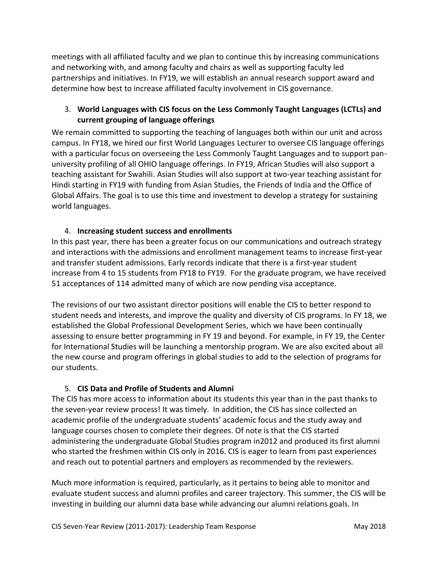meetings with all affiliated faculty and we plan to continue this by increasing communications and networking with, and among faculty and chairs as well as supporting faculty led partnerships and initiatives. In FY19, we will establish an annual research support award and determine how best to increase affiliated faculty involvement in CIS governance.

## 3. **World Languages with CIS focus on the Less Commonly Taught Languages (LCTLs) and current grouping of language offerings**

We remain committed to supporting the teaching of languages both within our unit and across campus. In FY18, we hired our first World Languages Lecturer to oversee CIS language offerings with a particular focus on overseeing the Less Commonly Taught Languages and to support panuniversity profiling of all OHIO language offerings. In FY19, African Studies will also support a teaching assistant for Swahili. Asian Studies will also support at two-year teaching assistant for Hindi starting in FY19 with funding from Asian Studies, the Friends of India and the Office of Global Affairs. The goal is to use this time and investment to develop a strategy for sustaining world languages.

### 4. **Increasing student success and enrollments**

In this past year, there has been a greater focus on our communications and outreach strategy and interactions with the admissions and enrollment management teams to increase first-year and transfer student admissions. Early records indicate that there is a first-year student increase from 4 to 15 students from FY18 to FY19. For the graduate program, we have received 51 acceptances of 114 admitted many of which are now pending visa acceptance.

The revisions of our two assistant director positions will enable the CIS to better respond to student needs and interests, and improve the quality and diversity of CIS programs. In FY 18, we established the Global Professional Development Series, which we have been continually assessing to ensure better programming in FY 19 and beyond. For example, in FY 19, the Center for International Studies will be launching a mentorship program. We are also excited about all the new course and program offerings in global studies to add to the selection of programs for our students.

### 5. **CIS Data and Profile of Students and Alumni**

The CIS has more access to information about its students this year than in the past thanks to the seven-year review process! It was timely. In addition, the CIS has since collected an academic profile of the undergraduate students' academic focus and the study away and language courses chosen to complete their degrees. Of note is that the CIS started administering the undergraduate Global Studies program in2012 and produced its first alumni who started the freshmen within CIS only in 2016. CIS is eager to learn from past experiences and reach out to potential partners and employers as recommended by the reviewers.

Much more information is required, particularly, as it pertains to being able to monitor and evaluate student success and alumni profiles and career trajectory. This summer, the CIS will be investing in building our alumni data base while advancing our alumni relations goals. In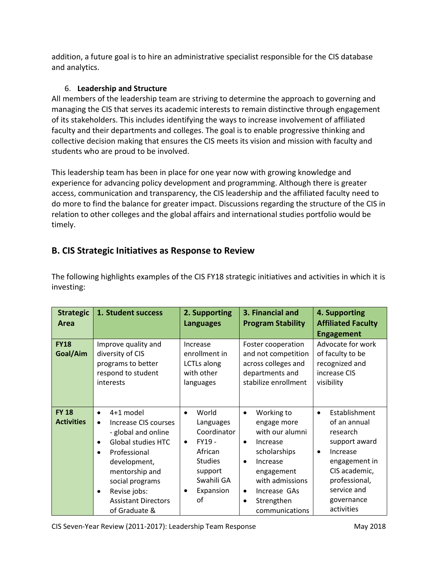addition, a future goal is to hire an administrative specialist responsible for the CIS database and analytics.

## 6. **Leadership and Structure**

All members of the leadership team are striving to determine the approach to governing and managing the CIS that serves its academic interests to remain distinctive through engagement of its stakeholders. This includes identifying the ways to increase involvement of affiliated faculty and their departments and colleges. The goal is to enable progressive thinking and collective decision making that ensures the CIS meets its vision and mission with faculty and students who are proud to be involved.

This leadership team has been in place for one year now with growing knowledge and experience for advancing policy development and programming. Although there is greater access, communication and transparency, the CIS leadership and the affiliated faculty need to do more to find the balance for greater impact. Discussions regarding the structure of the CIS in relation to other colleges and the global affairs and international studies portfolio would be timely.

## **B. CIS Strategic Initiatives as Response to Review**

| <b>Strategic</b><br>Area          | 1. Student success                                                                                                                                                                                                                                                                         | 2. Supporting<br><b>Languages</b>                                                                                                             | 3. Financial and<br><b>Program Stability</b>                                                                                                                                                                                           | 4. Supporting<br><b>Affiliated Faculty</b><br><b>Engagement</b>                                                                                                                                |  |
|-----------------------------------|--------------------------------------------------------------------------------------------------------------------------------------------------------------------------------------------------------------------------------------------------------------------------------------------|-----------------------------------------------------------------------------------------------------------------------------------------------|----------------------------------------------------------------------------------------------------------------------------------------------------------------------------------------------------------------------------------------|------------------------------------------------------------------------------------------------------------------------------------------------------------------------------------------------|--|
| <b>FY18</b><br>Goal/Aim           | Improve quality and<br>diversity of CIS<br>programs to better<br>respond to student<br>interests                                                                                                                                                                                           | Increase<br>enrollment in<br>LCTLs along<br>with other<br>languages                                                                           | Foster cooperation<br>and not competition<br>across colleges and<br>departments and<br>stabilize enrollment                                                                                                                            | Advocate for work<br>of faculty to be<br>recognized and<br>increase CIS<br>visibility                                                                                                          |  |
| <b>FY 18</b><br><b>Activities</b> | 4+1 model<br>$\bullet$<br>Increase CIS courses<br>$\bullet$<br>- global and online<br><b>Global studies HTC</b><br>$\bullet$<br>Professional<br>$\bullet$<br>development,<br>mentorship and<br>social programs<br>Revise jobs:<br>$\bullet$<br><b>Assistant Directors</b><br>of Graduate & | World<br>$\bullet$<br>Languages<br>Coordinator<br>FY19-<br>$\bullet$<br>African<br><b>Studies</b><br>support<br>Swahili GA<br>Expansion<br>οf | Working to<br>$\bullet$<br>engage more<br>with our alumni<br>Increase<br>$\bullet$<br>scholarships<br>Increase<br>$\bullet$<br>engagement<br>with admissions<br>Increase GAs<br>$\bullet$<br>Strengthen<br>$\bullet$<br>communications | Establishment<br>$\bullet$<br>of an annual<br>research<br>support award<br>Increase<br>$\bullet$<br>engagement in<br>CIS academic,<br>professional,<br>service and<br>governance<br>activities |  |

The following highlights examples of the CIS FY18 strategic initiatives and activities in which it is investing: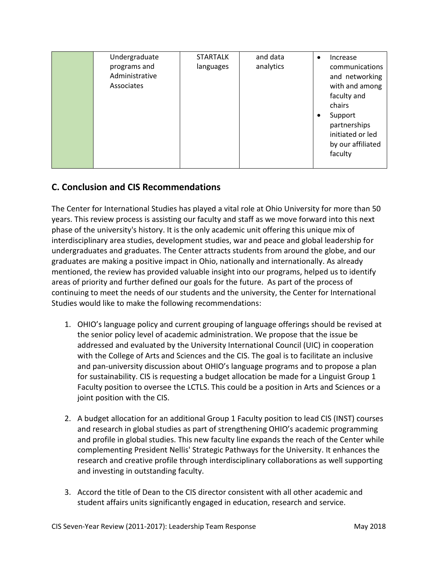## **C. Conclusion and CIS Recommendations**

The Center for International Studies has played a vital role at Ohio University for more than 50 years. This review process is assisting our faculty and staff as we move forward into this next phase of the university's history. It is the only academic unit offering this unique mix of interdisciplinary area studies, development studies, war and peace and global leadership for undergraduates and graduates. The Center attracts students from around the globe, and our graduates are making a positive impact in Ohio, nationally and internationally. As already mentioned, the review has provided valuable insight into our programs, helped us to identify areas of priority and further defined our goals for the future. As part of the process of continuing to meet the needs of our students and the university, the Center for International Studies would like to make the following recommendations:

- 1. OHIO's language policy and current grouping of language offerings should be revised at the senior policy level of academic administration. We propose that the issue be addressed and evaluated by the University International Council (UIC) in cooperation with the College of Arts and Sciences and the CIS. The goal is to facilitate an inclusive and pan-university discussion about OHIO's language programs and to propose a plan for sustainability. CIS is requesting a budget allocation be made for a Linguist Group 1 Faculty position to oversee the LCTLS. This could be a position in Arts and Sciences or a joint position with the CIS.
- 2. A budget allocation for an additional Group 1 Faculty position to lead CIS (INST) courses and research in global studies as part of strengthening OHIO's academic programming and profile in global studies. This new faculty line expands the reach of the Center while complementing President Nellis' Strategic Pathways for the University. It enhances the research and creative profile through interdisciplinary collaborations as well supporting and investing in outstanding faculty.
- 3. Accord the title of Dean to the CIS director consistent with all other academic and student affairs units significantly engaged in education, research and service.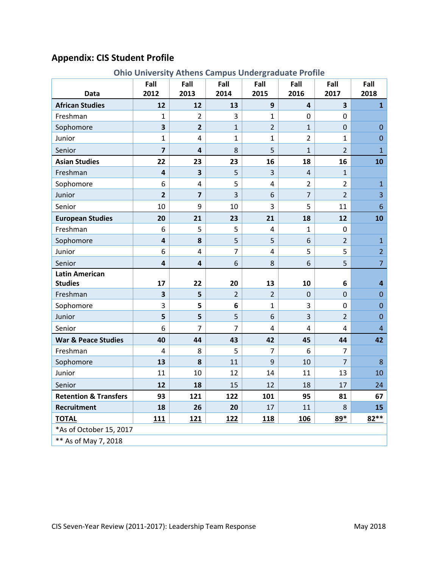# **Appendix: CIS Student Profile**

|  |  |  |  | <b>Ohio University Athens Campus Undergraduate Profile</b> |  |
|--|--|--|--|------------------------------------------------------------|--|
|--|--|--|--|------------------------------------------------------------|--|

| <b>Data</b>                      | Fall<br>2012            | Fall<br>2013            | Fall<br>2014   | Fall<br>2015   | Fall<br>2016   | Fall<br>2017   | Fall<br>2018            |
|----------------------------------|-------------------------|-------------------------|----------------|----------------|----------------|----------------|-------------------------|
| <b>African Studies</b>           | 12                      | 12                      | 13             | 9              | 4              | 3              | $\mathbf{1}$            |
| Freshman                         | 1                       | $\overline{2}$          | 3              | $\mathbf{1}$   | $\mathbf 0$    | 0              |                         |
| Sophomore                        | 3                       | $\overline{2}$          | $\mathbf{1}$   | $\overline{2}$ | $\mathbf{1}$   | $\overline{0}$ | $\overline{0}$          |
| Junior                           | $\mathbf{1}$            | 4                       | $\mathbf{1}$   | $\mathbf{1}$   | $\overline{2}$ | $\mathbf{1}$   | $\overline{0}$          |
| Senior                           | 7                       | $\overline{\mathbf{4}}$ | 8              | 5              | $\mathbf{1}$   | $\overline{2}$ | $\overline{1}$          |
| <b>Asian Studies</b>             | 22                      | 23                      | 23             | 16             | 18             | 16             | 10                      |
| Freshman                         | $\overline{\mathbf{4}}$ | $\overline{\mathbf{3}}$ | 5              | 3              | $\overline{4}$ | $\mathbf{1}$   |                         |
| Sophomore                        | 6                       | $\overline{4}$          | 5              | $\overline{4}$ | $\overline{2}$ | $\overline{2}$ | $\mathbf{1}$            |
| Junior                           | $\overline{2}$          | $\overline{\mathbf{z}}$ | $\overline{3}$ | 6              | $\overline{7}$ | $\overline{2}$ | $\overline{3}$          |
| Senior                           | 10                      | 9                       | 10             | 3              | 5              | 11             | $6\phantom{1}$          |
| <b>European Studies</b>          | 20                      | 21                      | 23             | 21             | 18             | 12             | 10                      |
| Freshman                         | 6                       | 5                       | 5              | $\overline{4}$ | $\mathbf{1}$   | $\mathbf 0$    |                         |
| Sophomore                        | $\overline{\mathbf{4}}$ | 8                       | 5              | 5              | 6              | $\overline{2}$ | $\mathbf{1}$            |
| Junior                           | 6                       | $\overline{4}$          | $\overline{7}$ | $\overline{4}$ | 5              | 5              | $\overline{2}$          |
| Senior                           | $\overline{\mathbf{4}}$ | $\overline{\mathbf{4}}$ | 6              | 8              | 6              | 5              | $\overline{7}$          |
| <b>Latin American</b>            |                         |                         |                |                |                |                |                         |
| <b>Studies</b>                   | 17                      | 22                      | 20             | 13             | 10             | 6              | $\overline{\mathbf{4}}$ |
| Freshman                         | 3                       | 5                       | $\overline{2}$ | $\overline{2}$ | $\Omega$       | $\overline{0}$ | $\overline{0}$          |
| Sophomore                        | 3                       | 5                       | 6              | $\mathbf{1}$   | 3              | $\mathbf 0$    | $\overline{0}$          |
| Junior                           | 5                       | 5                       | 5              | 6              | $\overline{3}$ | $\overline{2}$ | $\overline{0}$          |
| Senior                           | 6                       | $\overline{7}$          | $\overline{7}$ | 4              | 4              | $\overline{4}$ | $\overline{4}$          |
| <b>War &amp; Peace Studies</b>   | 40                      | 44                      | 43             | 42             | 45             | 44             | 42                      |
| Freshman                         | 4                       | 8                       | 5              | $\overline{7}$ | 6              | $\overline{7}$ |                         |
| Sophomore                        | 13                      | 8                       | 11             | 9              | 10             | $\overline{7}$ | $8\phantom{1}$          |
| Junior                           | 11                      | 10                      | 12             | 14             | 11             | 13             | 10                      |
| Senior                           | 12                      | 18                      | 15             | 12             | 18             | 17             | 24                      |
| <b>Retention &amp; Transfers</b> | 93                      | 121                     | 122            | 101            | 95             | 81             | 67                      |
| <b>Recruitment</b>               | 18                      | 26                      | 20             | 17             | 11             | 8              | 15                      |
| <b>TOTAL</b>                     | 111                     | <b>121</b>              | 122            | <b>118</b>     | 106            | 89*            | 82 **                   |
| *As of October 15, 2017          |                         |                         |                |                |                |                |                         |
| ** As of May 7, 2018             |                         |                         |                |                |                |                |                         |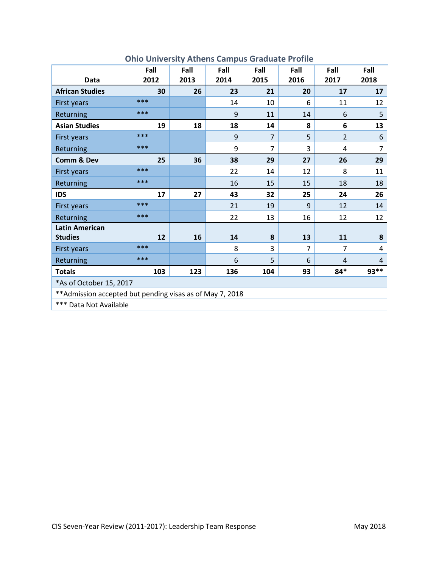|                                                           | Fall | Fall | Fall | Fall           | Fall | Fall           | Fall           |
|-----------------------------------------------------------|------|------|------|----------------|------|----------------|----------------|
| Data                                                      | 2012 | 2013 | 2014 | 2015           | 2016 | 2017           | 2018           |
| <b>African Studies</b>                                    | 30   | 26   | 23   | 21             | 20   | 17             | 17             |
| First years                                               | ***  |      | 14   | 10             | 6    | 11             | 12             |
| Returning                                                 | ***  |      | 9    | 11             | 14   | 6              | 5              |
| <b>Asian Studies</b>                                      | 19   | 18   | 18   | 14             | 8    | 6              | 13             |
| First years                                               | ***  |      | 9    | $\overline{7}$ | 5    | $\overline{2}$ | 6              |
| Returning                                                 | ***  |      | 9    | $\overline{7}$ | 3    | 4              | 7              |
| <b>Comm &amp; Dev</b>                                     | 25   | 36   | 38   | 29             | 27   | 26             | 29             |
| First years                                               | ***  |      | 22   | 14             | 12   | 8              | 11             |
| Returning                                                 | ***  |      | 16   | 15             | 15   | 18             | 18             |
| <b>IDS</b>                                                | 17   | 27   | 43   | 32             | 25   | 24             | 26             |
| First years                                               | ***  |      | 21   | 19             | 9    | 12             | 14             |
| Returning                                                 | ***  |      | 22   | 13             | 16   | 12             | 12             |
| <b>Latin American</b>                                     |      |      |      |                |      |                |                |
| <b>Studies</b>                                            | 12   | 16   | 14   | 8              | 13   | 11             | 8              |
| First years                                               | ***  |      | 8    | 3              | 7    | $\overline{7}$ | 4              |
| Returning                                                 | ***  |      | 6    | 5              | 6    | $\overline{4}$ | $\overline{4}$ |
| <b>Totals</b>                                             | 103  | 123  | 136  | 104            | 93   | $84*$          | 93**           |
| *As of October 15, 2017                                   |      |      |      |                |      |                |                |
| ** Admission accepted but pending visas as of May 7, 2018 |      |      |      |                |      |                |                |
| *** Data Not Available                                    |      |      |      |                |      |                |                |

## **Ohio University Athens Campus Graduate Profile**